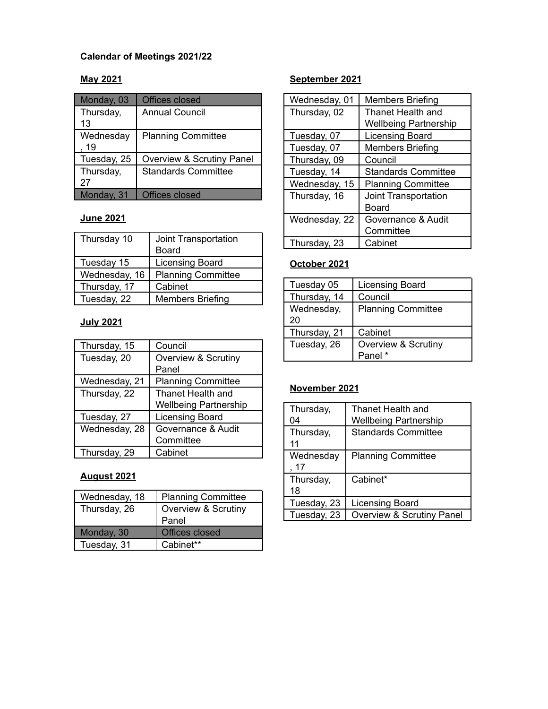# **Calendar of Meetings 2021/22**

### **May 2021**

| Monday, 03        | <b>Offices closed</b>      |
|-------------------|----------------------------|
| Thursday,<br>13   | <b>Annual Council</b>      |
| Wednesday<br>. 19 | <b>Planning Committee</b>  |
| Tuesday, 25       | Overview & Scrutiny Panel  |
| Thursday,<br>27   | <b>Standards Committee</b> |
| Monday, 31        | <b>Offices closed</b>      |

# **June 2021**

| Joint Transportation      |
|---------------------------|
| Board                     |
| Licensing Board           |
| <b>Planning Committee</b> |
| Cabinet                   |
| <b>Members Briefing</b>   |
|                           |

## **July 2021**

| Thursday, 15  | Council                      |
|---------------|------------------------------|
| Tuesday, 20   | Overview & Scrutiny          |
|               | Panel                        |
| Wednesday, 21 | <b>Planning Committee</b>    |
| Thursday, 22  | Thanet Health and            |
|               | <b>Wellbeing Partnership</b> |
| Tuesday, 27   | <b>Licensing Board</b>       |
| Wednesday, 28 | Governance & Audit           |
|               | Committee                    |
| Thursday, 29  | Cabinet                      |

# **August 2021**

| Wednesday, 18 | <b>Planning Committee</b> |
|---------------|---------------------------|
| Thursday, 26  | Overview & Scrutiny       |
|               | Panel                     |
| Monday, 30    | <b>Offices closed</b>     |
| Tuesday, 31   | Cabinet**                 |

### **September 2021**

| Wednesday, 01 | <b>Members Briefing</b>      |
|---------------|------------------------------|
| Thursday, 02  | Thanet Health and            |
|               | <b>Wellbeing Partnership</b> |
| Tuesday, 07   | <b>Licensing Board</b>       |
| Tuesday, 07   | <b>Members Briefing</b>      |
| Thursday, 09  | Council                      |
| Tuesday, 14   | <b>Standards Committee</b>   |
| Wednesday, 15 | <b>Planning Committee</b>    |
| Thursday, 16  | <b>Joint Transportation</b>  |
|               | Board                        |
| Wednesday, 22 | Governance & Audit           |
|               | Committee                    |
| Thursday, 23  | Cabinet                      |

# **October 2021**

| Tuesday 05       | Licensing Board           |
|------------------|---------------------------|
| Thursday, 14     | Council                   |
| Wednesday,<br>20 | <b>Planning Committee</b> |
|                  |                           |
| Thursday, 21     | Cabinet                   |
| Tuesday, 26      | Overview & Scrutiny       |
|                  | Panel*                    |

### **November 2021**

| Thursday,<br>04   | Thanet Health and<br><b>Wellbeing Partnership</b> |
|-------------------|---------------------------------------------------|
| Thursday,<br>11   | <b>Standards Committee</b>                        |
| Wednesday<br>, 17 | <b>Planning Committee</b>                         |
| Thursday,<br>18   | Cabinet*                                          |
| Tuesday, 23       | Licensing Board                                   |
| Tuesday, 23       | <b>Overview &amp; Scrutiny Panel</b>              |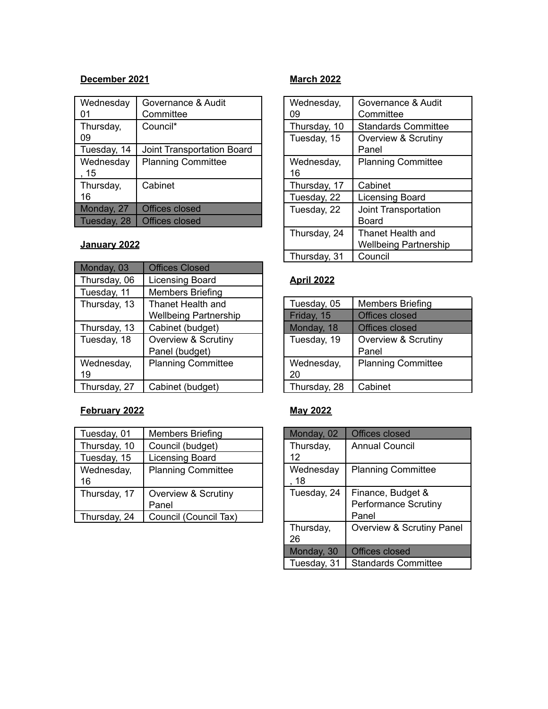#### **December 2021**

| Wednesday<br>01   | Governance & Audit<br>Committee |
|-------------------|---------------------------------|
| Thursday,<br>09   | Council*                        |
| Tuesday, 14       | Joint Transportation Board      |
| Wednesday<br>, 15 | <b>Planning Committee</b>       |
| Thursday,<br>16   | Cabinet                         |
| Monday, 27        | Offices closed                  |
| Tuesday, 28       | <b>Offices closed</b>           |

### **January 2022**

| Monday, 03   | <b>Offices Closed</b>          |
|--------------|--------------------------------|
| Thursday, 06 | Licensing Board                |
| Tuesday, 11  | <b>Members Briefing</b>        |
| Thursday, 13 | Thanet Health and              |
|              | <b>Wellbeing Partnership</b>   |
| Thursday, 13 | Cabinet (budget)               |
| Tuesday, 18  | <b>Overview &amp; Scrutiny</b> |
|              | Panel (budget)                 |
| Wednesday,   | <b>Planning Committee</b>      |
| 19           |                                |
| Thursday, 27 | Cabinet (budget)               |

# **February 2022**

| Tuesday, 01  | <b>Members Briefing</b>   |
|--------------|---------------------------|
| Thursday, 10 | Council (budget)          |
| Tuesday, 15  | Licensing Board           |
| Wednesday,   | <b>Planning Committee</b> |
| 16           |                           |
| Thursday, 17 | Overview & Scrutiny       |
|              | Panel                     |
| Thursday, 24 | Council (Council Tax)     |

#### **March 2022**

| Wednesday,<br>09 | Governance & Audit<br>Committee                   |
|------------------|---------------------------------------------------|
| Thursday, 10     | <b>Standards Committee</b>                        |
| Tuesday, 15      | Overview & Scrutiny<br>Panel                      |
| Wednesday,<br>16 | <b>Planning Committee</b>                         |
| Thursday, 17     | Cabinet                                           |
| Tuesday, 22      | <b>Licensing Board</b>                            |
| Tuesday, 22      | <b>Joint Transportation</b><br>Board              |
| Thursday, 24     | Thanet Health and<br><b>Wellbeing Partnership</b> |
| Thursday, 31     | Council                                           |

# **April 2022**

| Tuesday, 05  | <b>Members Briefing</b>   |
|--------------|---------------------------|
| Friday, 15   | Offices closed            |
| Monday, 18   | Offices closed            |
| Tuesday, 19  | Overview & Scrutiny       |
|              | Panel                     |
| Wednesday,   | <b>Planning Committee</b> |
| 20           |                           |
| Thursday, 28 | Cabinet                   |

# **May 2022**

| Monday, 02        | <b>Offices closed</b>                                     |
|-------------------|-----------------------------------------------------------|
| Thursday,<br>12   | <b>Annual Council</b>                                     |
| Wednesday<br>, 18 | <b>Planning Committee</b>                                 |
| Tuesday, 24       | Finance, Budget &<br><b>Performance Scrutiny</b><br>Panel |
| Thursday,<br>26   | Overview & Scrutiny Panel                                 |
| Monday, 30        | Offices closed                                            |
| Tuesday, 31       | <b>Standards Committee</b>                                |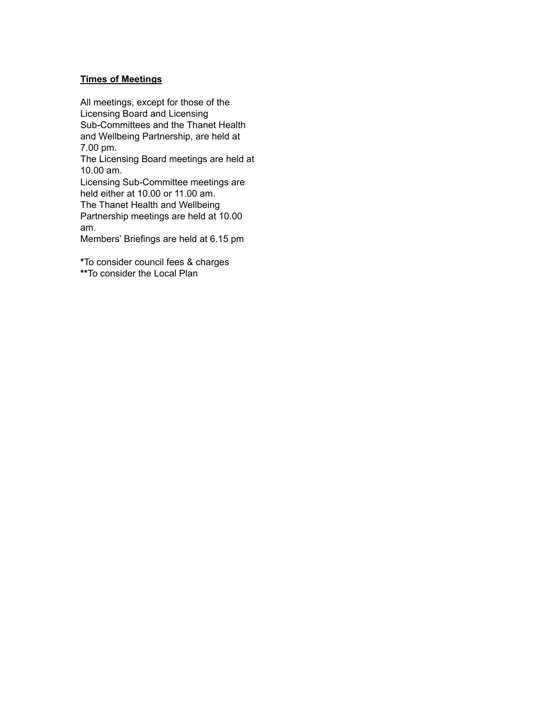#### **Times of Meetings**

All meetings, except for those of the Licensing Board and Licensing Sub-Committees and the Thanet Health and Wellbeing Partnership, are held at 7.00 pm.

The Licensing Board meetings are held at 10.00 am.

Licensing Sub-Committee meetings are held either at 10.00 or 11.00 am.

The Thanet Health and Wellbeing Partnership meetings are held at 10.00 am.

Members' Briefings are held at 6.15 pm

**\***To consider council fees & charges **\*\***To consider the Local Plan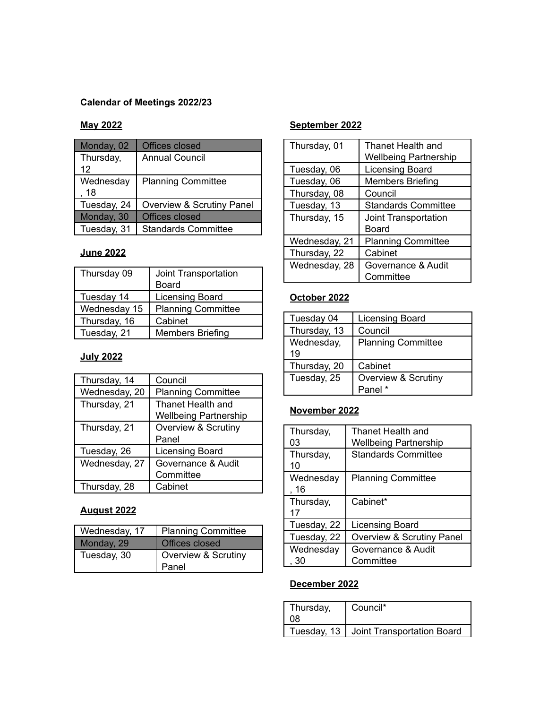### **Calendar of Meetings 2022/23**

## **May 2022**

| Monday, 02        | Offices closed             |
|-------------------|----------------------------|
| Thursday,<br>12   | Annual Council             |
| Wednesday<br>, 18 | <b>Planning Committee</b>  |
| Tuesday, 24       | Overview & Scrutiny Panel  |
| Monday, 30        | <b>Offices closed</b>      |
| Tuesday, 31       | <b>Standards Committee</b> |

# **June 2022**

| Thursday 09  | Joint Transportation      |
|--------------|---------------------------|
|              | Board                     |
| Tuesday 14   | <b>Licensing Board</b>    |
| Wednesday 15 | <b>Planning Committee</b> |
| Thursday, 16 | Cabinet                   |
| Tuesday, 21  | <b>Members Briefing</b>   |

## **July 2022**

| Thursday, 14  | Council                        |
|---------------|--------------------------------|
| Wednesday, 20 | <b>Planning Committee</b>      |
| Thursday, 21  | Thanet Health and              |
|               | <b>Wellbeing Partnership</b>   |
| Thursday, 21  | <b>Overview &amp; Scrutiny</b> |
|               | Panel                          |
| Tuesday, 26   | Licensing Board                |
| Wednesday, 27 | Governance & Audit             |
|               | Committee                      |
| Thursday, 28  | Cabinet                        |

### **August 2022**

| Wednesday, 17 | <b>Planning Committee</b> |
|---------------|---------------------------|
| Monday, 29    | Offices closed            |
| Tuesday, 30   | Overview & Scrutiny       |
|               | Panel                     |

## **September 2022**

| Thursday, 01  | Thanet Health and            |
|---------------|------------------------------|
|               | <b>Wellbeing Partnership</b> |
| Tuesday, 06   | <b>Licensing Board</b>       |
| Tuesday, 06   | <b>Members Briefing</b>      |
| Thursday, 08  | Council                      |
| Tuesday, 13   | <b>Standards Committee</b>   |
| Thursday, 15  | Joint Transportation         |
|               | Board                        |
| Wednesday, 21 | <b>Planning Committee</b>    |
| Thursday, 22  | Cabinet                      |
| Wednesday, 28 | Governance & Audit           |
|               | Committee                    |

# **October 2022**

| Tuesday 04   | <b>Licensing Board</b>    |
|--------------|---------------------------|
| Thursday, 13 | Council                   |
| Wednesday,   | <b>Planning Committee</b> |
| 19           |                           |
| Thursday, 20 | Cabinet                   |
| Tuesday, 25  | Overview & Scrutiny       |
|              | Panel *                   |

# **November 2022**

| Thursday,<br>03   | Thanet Health and<br><b>Wellbeing Partnership</b> |
|-------------------|---------------------------------------------------|
| Thursday,<br>10   | <b>Standards Committee</b>                        |
| Wednesday<br>,16  | <b>Planning Committee</b>                         |
| Thursday,<br>17   | Cabinet*                                          |
| Tuesday, 22       | Licensing Board                                   |
| Tuesday, 22       | Overview & Scrutiny Panel                         |
| Wednesday<br>. 30 | Governance & Audit<br>Committee                   |

### **December 2022**

| Thursday,<br>∩R. | Council*                                 |
|------------------|------------------------------------------|
|                  | Tuesday, 13   Joint Transportation Board |